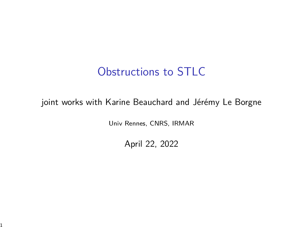## Obstructions to STLC

#### joint works with Karine Beauchard and Jérémy Le Borgne

Univ Rennes, CNRS, IRMAR

April 22, 2022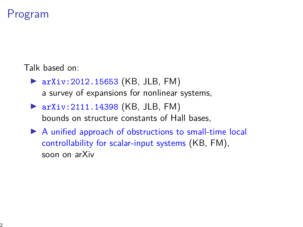## Program

Talk based on:

- $\triangleright$  arXiv:2012.15653 (KB, JLB, FM) a survey of expansions for nonlinear systems,
- $\triangleright$  arXiv: 2111.14398 (KB, JLB, FM) bounds on structure constants of Hall bases,
- $\triangleright$  A unified approach of obstructions to small-time local controllability for scalar-input systems (KB, FM), soon on arXiv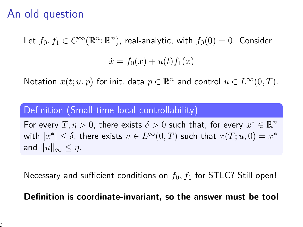## An old question

Let  $f_0, f_1 \in C^\infty(\mathbb{R}^n;\mathbb{R}^n)$ , real-analytic, with  $f_0(0) = 0$ . Consider

$$
\dot{x} = f_0(x) + u(t)f_1(x)
$$

Notation  $x(t; u, p)$  for init. data  $p \in \mathbb{R}^n$  and control  $u \in L^\infty(0, T)$ .

#### Definition (Small-time local controllability)

For every  $T, \eta > 0$ , there exists  $\delta > 0$  such that, for every  $x^* \in \mathbb{R}^n$ with  $|x^*| \leq \delta$ , there exists  $u \in L^\infty(0,T)$  such that  $x(T; u, 0) = x^*$ and  $||u||_{\infty} \leq \eta$ .

Necessary and sufficient conditions on  $f_0, f_1$  for STLC? Still open!

**Definition is coordinate-invariant, so the answer must be too!**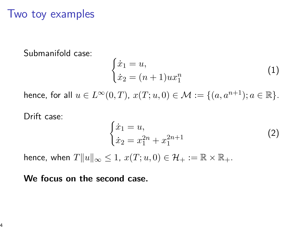### Two toy examples

Submanifold case:

$$
\begin{cases}\n\dot{x}_1 = u, \\
\dot{x}_2 = (n+1)ux_1^n\n\end{cases}
$$
\n(1)

hence, for all  $u \in L^{\infty}(0,T)$ ,  $x(T; u, 0) \in \mathcal{M} := \{(a, a^{n+1}); a \in \mathbb{R}\}.$ 

Drift case:

$$
\begin{cases} \n\dot{x}_1 = u, \\ \n\dot{x}_2 = x_1^{2n} + x_1^{2n+1} \n\end{cases} \tag{2}
$$

hence, when  $T||u||_{\infty} \leq 1$ ,  $x(T; u, 0) \in \mathcal{H}_+ := \mathbb{R} \times \mathbb{R}_+$ .

#### **We focus on the second case.**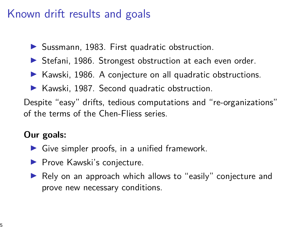# Known drift results and goals

- $\triangleright$  Sussmann, 1983. First quadratic obstruction.
- ▶ Stefani, 1986. Strongest obstruction at each even order.
- $\blacktriangleright$  Kawski, 1986. A conjecture on all quadratic obstructions.
- $\blacktriangleright$  Kawski, 1987. Second quadratic obstruction.

Despite "easy" drifts, tedious computations and "re-organizations" of the terms of the Chen-Fliess series.

### **Our goals:**

- $\triangleright$  Give simpler proofs, in a unified framework.
- $\blacktriangleright$  Prove Kawski's conjecture.
- $\blacktriangleright$  Rely on an approach which allows to "easily" conjecture and prove new necessary conditions.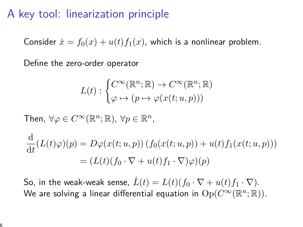## A key tool: linearization principle

Consider  $\dot{x} = f_0(x) + u(t)f_1(x)$ , which is a nonlinear problem.

Define the zero-order operator

$$
L(t): \begin{cases} C^{\infty}(\mathbb{R}^n; \mathbb{R}) \to C^{\infty}(\mathbb{R}^n; \mathbb{R}) \\ \varphi \mapsto (p \mapsto \varphi(x(t; u, p))) \end{cases}
$$

Then,  $\forall \varphi \in C^\infty(\mathbb{R}^n;\mathbb{R})$ ,  $\forall p \in \mathbb{R}^n$ ,

$$
\frac{d}{dt}(L(t)\varphi)(p) = D\varphi(x(t;u,p))(f_0(x(t;u,p)) + u(t)f_1(x(t;u,p)))
$$
  
=  $(L(t)(f_0 \cdot \nabla + u(t)f_1 \cdot \nabla)\varphi)(p)$ 

So, in the weak-weak sense,  $\dot{L}(t) = L(t)(f_0 \cdot \nabla + u(t)f_1 \cdot \nabla)$ . We are solving a linear differential equation in  ${\rm Op}(C^\infty({\mathbb R}^{n}; {\mathbb R})).$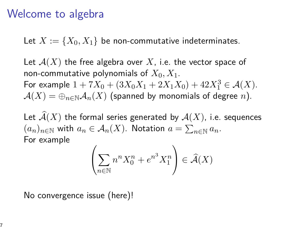### Welcome to algebra

Let  $X := \{X_0, X_1\}$  be non-commutative indeterminates.

Let  $\mathcal{A}(X)$  the free algebra over X, i.e. the vector space of non-commutative polynomials of *X*0*, X*1. For example  $1 + 7X_0 + (3X_0X_1 + 2X_1X_0) + 42X_1^3 \in \mathcal{A}(X)$ .  $A(X) = \bigoplus_{n \in \mathbb{N}} A_n(X)$  (spanned by monomials of degree *n*).

Let  $\widehat{\mathcal{A}}(X)$  the formal series generated by  $\mathcal{A}(X)$ , i.e. sequences  $(a_n)_{n\in\mathbb{N}}$  with  $a_n\in\mathcal{A}_n(X)$ . Notation  $a=\sum_{n\in\mathbb{N}}a_n$ . For example

$$
\left(\sum_{n\in\mathbb{N}} n^n X_0^n + e^{n^3} X_1^n\right) \in \widehat{\mathcal{A}}(X)
$$

No convergence issue (here)!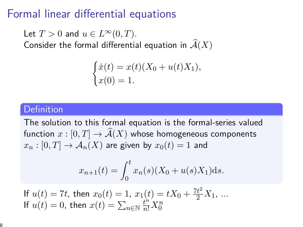### Formal linear differential equations

Let  $T > 0$  and  $u \in L^{\infty}(0, T)$ . Consider the formal differential equation in  $\mathcal{A}(X)$ 

$$
\begin{cases}\n\dot{x}(t) = x(t)(X_0 + u(t)X_1), \\
x(0) = 1.\n\end{cases}
$$

#### **Definition**

The solution to this formal equation is the formal-series valued function  $x : [0, T] \to \widehat{A}(X)$  whose homogeneous components  $x_n : [0, T] \to \mathcal{A}_n(X)$  are given by  $x_0(t) = 1$  and

$$
x_{n+1}(t) = \int_0^t x_n(s)(X_0 + u(s)X_1)ds.
$$

If 
$$
u(t) = 7t
$$
, then  $x_0(t) = 1$ ,  $x_1(t) = tX_0 + \frac{7t^2}{2}X_1$ , ...  
If  $u(t) = 0$ , then  $x(t) = \sum_{n \in \mathbb{N}} \frac{t^n}{n!} X_0^n$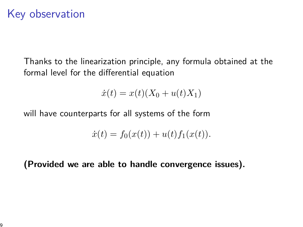## Key observation

Thanks to the linearization principle, any formula obtained at the formal level for the differential equation

$$
\dot{x}(t) = x(t)(X_0 + u(t)X_1)
$$

will have counterparts for all systems of the form

$$
\dot{x}(t) = f_0(x(t)) + u(t)f_1(x(t)).
$$

**(Provided we are able to handle convergence issues).**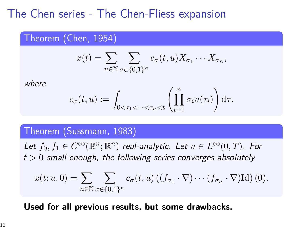## The Chen series - The Chen-Fliess expansion

#### Theorem (Chen, 1954)

$$
x(t) = \sum_{n \in \mathbb{N}} \sum_{\sigma \in \{0,1\}^n} c_{\sigma}(t, u) X_{\sigma_1} \cdots X_{\sigma_n},
$$

where

$$
c_{\sigma}(t,u):=\int_{0<\tau_1<\cdots<\tau_n
$$

#### Theorem (Sussmann, 1983)

Let  $f_0, f_1 \in C^\infty(\mathbb{R}^n; \mathbb{R}^n)$  real-analytic. Let  $u \in L^\infty(0,T)$ . For  $t > 0$  small enough, the following series converges absolutely

$$
x(t;u,0) = \sum_{n \in \mathbb{N}} \sum_{\sigma \in \{0,1\}^n} c_{\sigma}(t,u) \left( (f_{\sigma_1} \cdot \nabla) \cdots (f_{\sigma_n} \cdot \nabla) \mathrm{Id} \right)(0).
$$

#### **Used for all previous results, but some drawbacks.**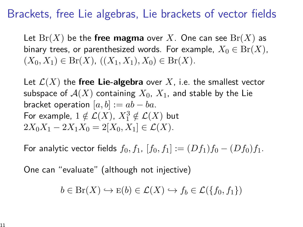## Brackets, free Lie algebras, Lie brackets of vector fields

Let  $Br(X)$  be the free magma over X. One can see  $Br(X)$  as binary trees, or parenthesized words. For example,  $X_0 \in Br(X)$ ,  $(X_0, X_1)$  ∈ Br $(X)$ ,  $((X_1, X_1), X_0)$  ∈ Br $(X)$ .

Let  $\mathcal{L}(X)$  the free Lie-algebra over X, i.e. the smallest vector subspace of  $A(X)$  containing  $X_0$ ,  $X_1$ , and stable by the Lie bracket operation  $[a, b] := ab - ba$ . For example,  $1 \notin \mathcal{L}(X)$ ,  $X_1^3 \notin \mathcal{L}(X)$  but  $2X_0X_1 - 2X_1X_0 = 2[X_0, X_1] \in \mathcal{L}(X)$ .

For analytic vector fields  $f_0, f_1, [f_0, f_1] := (Df_1)f_0 - (Df_0)f_1$ .

One can "evaluate" (although not injective)

$$
b \in \text{Br}(X) \hookrightarrow \text{E}(b) \in \mathcal{L}(X) \hookrightarrow f_b \in \mathcal{L}(\{f_0, f_1\})
$$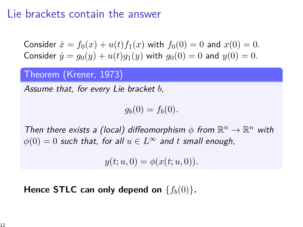### Lie brackets contain the answer

Consider  $\dot{x} = f_0(x) + u(t)f_1(x)$  with  $f_0(0) = 0$  and  $x(0) = 0$ . Consider  $\dot{y} = q_0(y) + u(t)q_1(y)$  with  $q_0(0) = 0$  and  $y(0) = 0$ .

#### Theorem (Krener, 1973)

Assume that, for every Lie bracket *b*,

 $g_b(0) = f_b(0)$ .

Then there exists a (local) diffeomorphism  $\phi$  from  $\mathbb{R}^n \to \mathbb{R}^n$  with  $\phi(0) = 0$  such that, for all  $u \in L^{\infty}$  and *t* small enough,

 $y(t; u, 0) = \phi(x(t; u, 0)).$ 

**Hence STLC can only depend on**  ${f_b(0)}$ .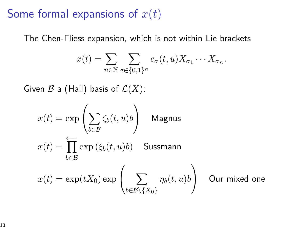## Some formal expansions of *x*(*t*)

The Chen-Fliess expansion, which is not within Lie brackets

$$
x(t) = \sum_{n \in \mathbb{N}} \sum_{\sigma \in \{0,1\}^n} c_{\sigma}(t, u) X_{\sigma_1} \cdots X_{\sigma_n}.
$$

Given  $\mathcal B$  a (Hall) basis of  $\mathcal L(X)$ :

$$
x(t) = \exp\left(\sum_{b \in \mathcal{B}} \zeta_b(t, u)b\right)
$$
 Magnus  

$$
x(t) = \prod_{b \in \mathcal{B}} \exp\left(\xi_b(t, u)b\right)
$$
 Sussmann  

$$
x(t) = \exp(tX_0) \exp\left(\sum_{b \in \mathcal{B} \backslash \{X_0\}} \eta_b(t, u)b\right)
$$
 Our mixed one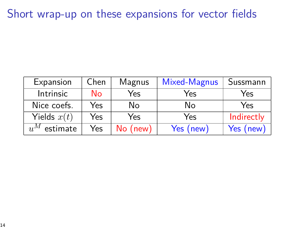## Short wrap-up on these expansions for vector fields

| Expansion         | Chen | Magnus     | Mixed-Magnus | Sussmann   |
|-------------------|------|------------|--------------|------------|
| Intrinsic         | No   | Yes        | Yes          | Yes        |
| Nice coefs.       | Yes  | No         | No           | Yes        |
| Yields $x(t)$     | Yes  | Yes        | Yes          | Indirectly |
| $u^M$<br>estimate | Yes  | $No$ (new) | Yes (new)    | Yes (new)  |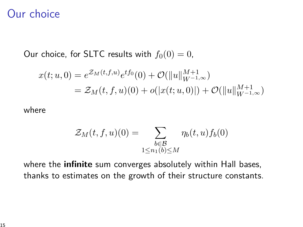### Our choice

Our choice, for SLTC results with  $f_0(0) = 0$ ,

$$
x(t; u, 0) = e^{\mathcal{Z}_M(t, f, u)} e^{tf_0}(0) + \mathcal{O}(\|u\|_{W^{-1,\infty}}^{M+1})
$$
  
=  $\mathcal{Z}_M(t, f, u)(0) + o(|x(t; u, 0)|) + \mathcal{O}(\|u\|_{W^{-1,\infty}}^{M+1})$ 

where

$$
\mathcal{Z}_M(t, f, u)(0) = \sum_{\substack{b \in \mathcal{B} \\ 1 \le n_1(b) \le M}} \eta_b(t, u) f_b(0)
$$

where the **infinite** sum converges absolutely within Hall bases, thanks to estimates on the growth of their structure constants.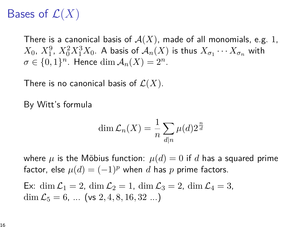# Bases of  $\mathcal{L}(X)$

There is a canonical basis of  $A(X)$ , made of all monomials, e.g. 1,  $X_0, X_1^9, X_0^2 X_1^3 X_0$ . A basis of  $\mathcal{A}_n(X)$  is thus  $X_{\sigma_1} \cdots X_{\sigma_n}$  with  $\sigma \in \{0,1\}^n$ . Hence  $\dim \mathcal{A}_n(X) = 2^n$ .

There is no canonical basis of  $\mathcal{L}(X)$ .

By Witt's formula

$$
\dim \mathcal{L}_n(X) = \frac{1}{n} \sum_{d|n} \mu(d) 2^{\frac{n}{d}}
$$

where  $\mu$  is the Möbius function:  $\mu(d) = 0$  if *d* has a squared prime factor, else  $\mu(d) = (-1)^p$  when *d* has *p* prime factors.

Ex: dim 
$$
\mathcal{L}_1 = 2
$$
, dim  $\mathcal{L}_2 = 1$ , dim  $\mathcal{L}_3 = 2$ , dim  $\mathcal{L}_4 = 3$ ,  
dim  $\mathcal{L}_5 = 6$ , ... (vs 2, 4, 8, 16, 32 ...)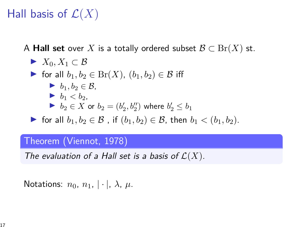# Hall basis of  $\mathcal{L}(X)$

A **Hall set** over X is a totally ordered subset  $\mathcal{B} \subset \text{Br}(X)$  st.

\n- \n
$$
X_0, X_1 \subset \mathcal{B}
$$
\n
\n- \n for all  $b_1, b_2 \in \text{Br}(X)$ ,  $(b_1, b_2) \in \mathcal{B}$  iff\n
\n- \n $b_1, b_2 \in \mathcal{B}$ ,\n
\n- \n $b_1 < b_2$ ,\n
\n- \n $b_2 \in X$  or  $b_2 = (b'_2, b''_2)$  where  $b'_2 \leq b_1$ \n
\n- \n For all  $b_1, b_2 \in \mathcal{B}$ , if  $(b_1, b_2) \in \mathcal{B}$ , then  $b_1 < (b_1, b_2)$ .\n
\n

#### Theorem (Viennot, 1978)

The evaluation of a Hall set is a basis of  $\mathcal{L}(X)$ .

Notations:  $n_0$ ,  $n_1$ ,  $\cdot$   $\vert \cdot \vert$ ,  $\lambda$ ,  $\mu$ .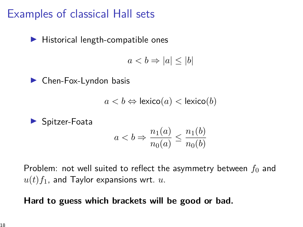## Examples of classical Hall sets

 $\blacktriangleright$  Historical length-compatible ones

 $a < b \Rightarrow |a| \leq |b|$ 

 $\blacktriangleright$  Chen-Fox-Lyndon basis

$$
a < b \Leftrightarrow \text{lexico}(a) < \text{lexico}(b)
$$

 $\blacktriangleright$  Spitzer-Foata

$$
a < b \Rightarrow \frac{n_1(a)}{n_0(a)} \le \frac{n_1(b)}{n_0(b)}
$$

Problem: not well suited to reflect the asymmetry between  $f_0$  and  $u(t) f_1$ , and Taylor expansions wrt.  $u$ .

#### **Hard to guess which brackets will be good or bad.**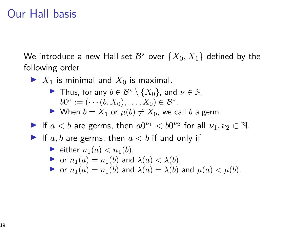## Our Hall basis

We introduce a new Hall set  $\mathcal{B}^\star$  over  $\{X_0,X_1\}$  defined by the following order

- $\blacktriangleright$   $X_1$  is minimal and  $X_0$  is maximal.
	- **►** Thus, for any  $b \in \mathcal{B}^* \setminus \{X_0\}$ , and  $\nu \in \mathbb{N}$ ,  $b0^{\nu} := (\cdots (b, X_0), \dots, X_0) \in \mathcal{B}^{\star}.$
	- ▶ When  $b = X_1$  or  $\mu(b) \neq X_0$ , we call *b* a germ.
- If  $a < b$  are germs, then  $a0^{\nu_1} < b0^{\nu_2}$  for all  $\nu_1, \nu_2 \in \mathbb{N}$ .
- If  $a, b$  are germs, then  $a < b$  if and only if

• either 
$$
n_1(a) < n_1(b)
$$
,

- $\triangleright$  or  $n_1(a) = n_1(b)$  and  $\lambda(a) < \lambda(b)$ ,
- $\triangleright$  or  $n_1(a) = n_1(b)$  and  $\lambda(a) = \lambda(b)$  and  $\mu(a) < \mu(b)$ .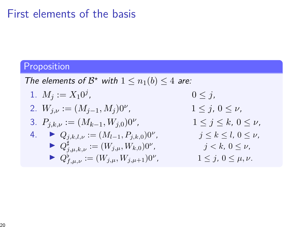## First elements of the basis

### Proposition

The elements of  $\mathcal{B}^*$  with  $1 \leq n_1(b) \leq 4$  are:

1. 
$$
M_j := X_1 0^j
$$
,  $0 \le j$ ,  
\n2.  $W_{j,\nu} := (M_{j-1}, M_j) 0^{\nu}$ ,  $1 \le j, 0 \le \nu$ ,  
\n3.  $P_{j,k,\nu} := (M_{k-1}, W_{j,0}) 0^{\nu}$ ,  $1 \le j \le k, 0 \le \nu$ ,  
\n4.  $\blacktriangleright Q_{j,k,l,\nu} := (M_{l-1}, P_{j,k,0}) 0^{\nu}$ ,  $j \le k \le l, 0 \le \nu$ ,  
\n $\blacktriangleright Q_{j,\mu,k,\nu}^{\sharp} := (W_{j,\mu}, W_{k,0}) 0^{\nu}$ ,  $j < k, 0 \le \nu$ ,  
\n $\blacktriangleright Q_{j,\mu,\nu}^{\sharp} := (W_{j,\mu}, W_{j,\mu+1}) 0^{\nu}$ ,  $1 \le j, 0 \le \mu, \nu$ .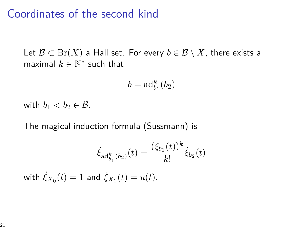### Coordinates of the second kind

Let  $\mathcal{B} \subset \text{Br}(X)$  a Hall set. For every  $b \in \mathcal{B} \setminus X$ , there exists a maximal  $k \in \mathbb{N}^*$  such that

$$
b = \mathrm{ad}^k_{b_1}(b_2)
$$

with  $b_1 < b_2 \in \mathcal{B}$ .

The magical induction formula (Sussmann) is

$$
\dot{\xi}_{\mathrm{ad}^k_{b_1}(b_2)}(t) = \frac{(\xi_{b_1}(t))^k}{k!} \dot{\xi}_{b_2}(t)
$$

 $\dot{\xi}_{X_0}(t) = 1$  and  $\dot{\xi}_{X_1}(t) = u(t)$ .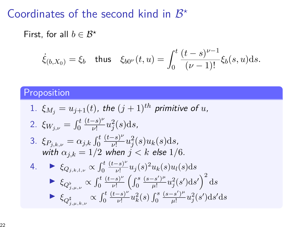# Coordinates of the second kind in  $\mathcal{B}^{\star}$

First, for all  $b \in \mathcal{B}^{\star}$ 

$$
\dot{\xi}_{(b,X_0)} = \xi_b
$$
 thus  $\xi_{b0^{\nu}}(t,u) = \int_0^t \frac{(t-s)^{\nu-1}}{(\nu-1)!} \xi_b(s,u) \, ds.$ 

### **Proposition**

1. 
$$
\xi_{M_j} = u_{j+1}(t)
$$
, the  $(j + 1)^{th}$  primitive of u,  
\n2.  $\xi_{W_{j,\nu}} = \int_0^t \frac{(t-s)^{\nu}}{\nu!} u_j^2(s) ds$ ,  
\n3.  $\xi_{P_{j,k,\nu}} = \alpha_{j,k} \int_0^t \frac{(t-s)^{\nu}}{\nu!} u_j^2(s) u_k(s) ds$ ,  
\nwith  $\alpha_{j,k} = 1/2$  when  $j < k$  else  $1/6$ .  
\n4.  $\blacktriangleright \xi_{Q_{j,k,l,\nu}} \propto \int_0^t \frac{(t-s)^{\nu}}{\nu!} u_j(s)^2 u_k(s) u_l(s) ds$   
\n $\blacktriangleright \xi_{Q_{j,\mu,\nu}^b} \propto \int_0^t \frac{(t-s)^{\nu}}{\nu!} \left( \int_0^s \frac{(s-s')^{\mu}}{\mu!} u_j^2(s') ds' \right)^2 ds$   
\n $\blacktriangleright \xi_{Q_{j,\mu,k,\nu}^{\sharp}} \propto \int_0^t \frac{(t-s)^{\nu}}{\nu!} u_k^2(s) \int_0^s \frac{(s-s')^{\mu}}{\mu!} u_j^2(s') ds' ds$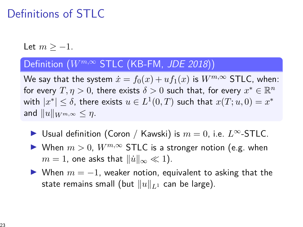# Definitions of STLC

Let  $m > -1$ .

### Definition (*W<sup>m,∞</sup>* STLC (KB-FM, JDE 2018))

We say that the system  $\dot{x} = f_0(x) + uf_1(x)$  is  $W^{m,\infty}$  STLC, when: for every  $T, \eta > 0$ , there exists  $\delta > 0$  such that, for every  $x^* \in \mathbb{R}^n$ with  $|x^*| \leq \delta$ , there exists  $u \in L^1(0,T)$  such that  $x(T;u,0) = x^*$ and  $||u||_{W^{m,\infty}} \leq \eta$ .

- I Usual definition (Coron / Kawski) is *m* = 0, i.e. *L*∞-STLC.
- ▶ When  $m > 0$ ,  $W^{m,\infty}$  STLC is a stronger notion (e.g. when  $m = 1$ , one asks that  $\|\dot{u}\|_{\infty} \ll 1$ ).
- $\triangleright$  When  $m = -1$ , weaker notion, equivalent to asking that the state remains small (but  $||u||_{L^1}$  can be large).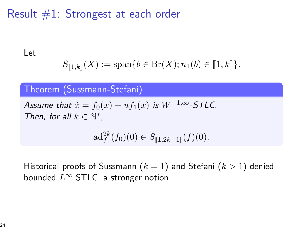## Result  $#1$ : Strongest at each order

Let

$$
S_{[\![1,k]\!]}(X) := \text{span}\{b \in \text{Br}(X); n_1(b) \in [\![1,k]\!]\}.
$$

#### Theorem (Sussmann-Stefani)

Assume that  $\dot{x} = f_0(x) + uf_1(x)$  is  $W^{-1,\infty}$ -STLC. Then, for all  $k \in \mathbb{N}^*$ ,

 $\mathrm{ad}_{f_1}^{2k}(f_0)(0) \in S_{[\![1,2k-1]\!]}(f)(0).$ 

Historical proofs of Sussmann (*k* = 1) and Stefani (*k >* 1) denied bounded *L*<sup>∞</sup> STLC, a stronger notion.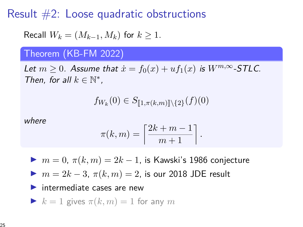Result  $#2$ : Loose quadratic obstructions

Recall 
$$
W_k = (M_{k-1}, M_k)
$$
 for  $k \ge 1$ .

#### Theorem (KB-FM 2022)

Let  $m \geq 0$ . Assume that  $\dot{x} = f_0(x) + uf_1(x)$  is  $W^{m,\infty}$ -STLC. Then, for all  $k \in \mathbb{N}^*$ ,

$$
f_{W_k}(0) \in S_{[\![1,\pi(k,m)]\!]}(2)(f)(0)
$$

where

$$
\pi(k,m) = \left\lceil \frac{2k+m-1}{m+1} \right\rceil.
$$

$$
m = 0, \pi(k, m) = 2k - 1
$$
, is Kawski's 1986 conjecture

$$
m = 2k - 3, \ \pi(k, m) = 2, \text{ is our 2018 JDE result}
$$

#### $\blacktriangleright$  intermediate cases are new

$$
\blacktriangleright k = 1 \text{ gives } \pi(k, m) = 1 \text{ for any } m
$$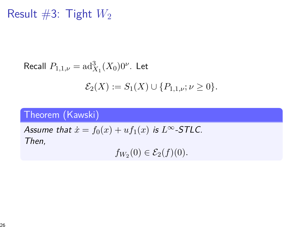Result  $#3$ : Tight  $W_2$ 

Recall 
$$
P_{1,1,\nu} = \text{ad}_{X_1}^3(X_0)0^{\nu}
$$
. Let  

$$
\mathcal{E}_2(X) := S_1(X) \cup \{P_{1,1,\nu}; \nu \ge 0\}.
$$

### Theorem (Kawski)

Assume that  $\dot{x} = f_0(x) + uf_1(x)$  is  $L^{\infty}$ -STLC. Then,

 $f_{W_2}(0) \in \mathcal{E}_2(f)(0)$ .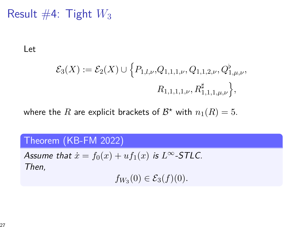Result  $#4$ : Tight  $W_3$ 

Let

$$
\mathcal{E}_3(X) := \mathcal{E}_2(X) \cup \{ P_{1,l,\nu}, Q_{1,1,1,\nu}, Q_{1,1,2,\nu}, Q_{1,\mu,\nu}^{\flat},
$$

$$
R_{1,1,1,1,\nu}, R_{1,1,1,\mu,\nu}^{\sharp} \},
$$

where the  $R$  are explicit brackets of  $\mathcal{B}^\star$  with  $n_1(R) = 5.2$ 

#### Theorem (KB-FM 2022)

Assume that  $\dot{x} = f_0(x) + uf_1(x)$  is  $L^\infty$ -STLC. Then,

 $f_{W_3}(0) \in \mathcal{E}_3(f)(0)$ .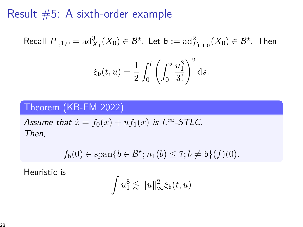### Result #5: A sixth-order example

Recall 
$$
P_{1,1,0} = \text{ad}_{X_1}^3(X_0) \in \mathcal{B}^*
$$
. Let  $\mathfrak{b} := \text{ad}_{P_{1,1,0}}^2(X_0) \in \mathcal{B}^*$ . Then  

$$
\xi_{\mathfrak{b}}(t, u) = \frac{1}{2} \int_0^t \left( \int_0^s \frac{u_1^3}{3!} \right)^2 ds.
$$

### Theorem (KB-FM 2022)

Assume that  $\dot{x} = f_0(x) + uf_1(x)$  is  $L^\infty$ -STLC. Then,

$$
f_{\mathfrak{b}}(0) \in \text{span}\{b \in \mathcal{B}^{\star}; n_1(b) \leq 7; b \neq \mathfrak{b}\}(f)(0).
$$

Heuristic is

$$
\int u_1^8 \lesssim \|u\|_{\infty}^2 \xi_{\mathfrak{b}}(t,u)
$$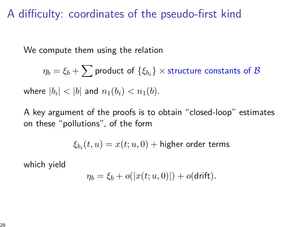## A difficulty: coordinates of the pseudo-first kind

We compute them using the relation

$$
\eta_b = \xi_b + \sum \text{product of } \{\xi_{b_i}\} \times \text{structure constants of } \mathcal{B}
$$
  
where  $|b_i| < |b|$  and  $n_1(b_i) < n_1(b)$ .

A key argument of the proofs is to obtain "closed-loop" estimates on these "pollutions", of the form

$$
\xi_{b_i}(t,u) = x(t;u,0) + \text{higher order terms}
$$

which yield

$$
\eta_b = \xi_b + o(|x(t; u, 0)|) + o(\mathsf{drift}).
$$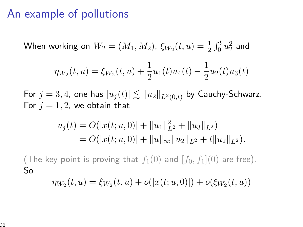## An example of pollutions

When working on  $W_2 = (M_1, M_2)$ ,  $\xi_{W_2}(t, u) = \frac{1}{2} \int_0^t u_2^2$  and

$$
\eta_{W_2}(t,u) = \xi_{W_2}(t,u) + \frac{1}{2}u_1(t)u_4(t) - \frac{1}{2}u_2(t)u_3(t)
$$

For  $j = 3, 4$ , one has  $|u_j(t)| \lesssim ||u_2||_{L^2(0,t)}$  by Cauchy-Schwarz. For  $j = 1, 2$ , we obtain that

$$
u_j(t) = O(|x(t; u, 0)| + ||u_1||_{L^2}^2 + ||u_3||_{L^2})
$$
  
=  $O(|x(t; u, 0)| + ||u||_{\infty} ||u_2||_{L^2} + t ||u_2||_{L^2}).$ 

(The key point is proving that  $f_1(0)$  and  $[f_0, f_1](0)$  are free). So

$$
\eta_{W_2}(t, u) = \xi_{W_2}(t, u) + o(|x(t; u, 0)|) + o(\xi_{W_2}(t, u))
$$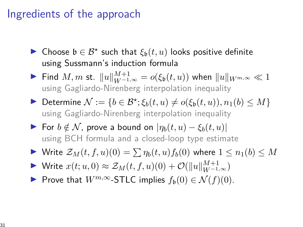## Ingredients of the approach

- I Choose b ∈ B*?* such that *ξ*b(*t, u*) looks positive definite using Sussmann's induction formula
- **►** Find *M*, *m* st.  $||u||_{W^{-1,\infty}}^{M+1} = o(\xi_{\mathfrak{b}}(t,u))$  when  $||u||_{W^{m,\infty}} \ll 1$ using Gagliardo-Nirenberg interpolation inequality
- $▶$  Determine  $N := \{b \in \mathcal{B}^{\star}; \xi_b(t, u) \neq o(\xi_b(t, u)), n_1(b) \leq M\}$ using Gagliardo-Nirenberg interpolation inequality
- **►** For  $b \notin \mathcal{N}$ , prove a bound on  $|\eta_b(t, u) \xi_b(t, u)|$ using BCH formula and a closed-loop type estimate
- $\triangleright$  Write  $\mathcal{Z}_M(t, f, u)(0) = \sum_{b} \eta_b(t, u) f_b(0)$  where  $1 \leq n_1(b) \leq M$
- ▶ Write  $x(t; u, 0) \approx \mathcal{Z}_M(t, f, u)(0) + \mathcal{O}(\|u\|_{W^{-1,\infty}}^{M+1})$
- **►** Prove that  $W^{m,\infty}$ -STLC implies  $f_b(0) \in \mathcal{N}(f)(0)$ .